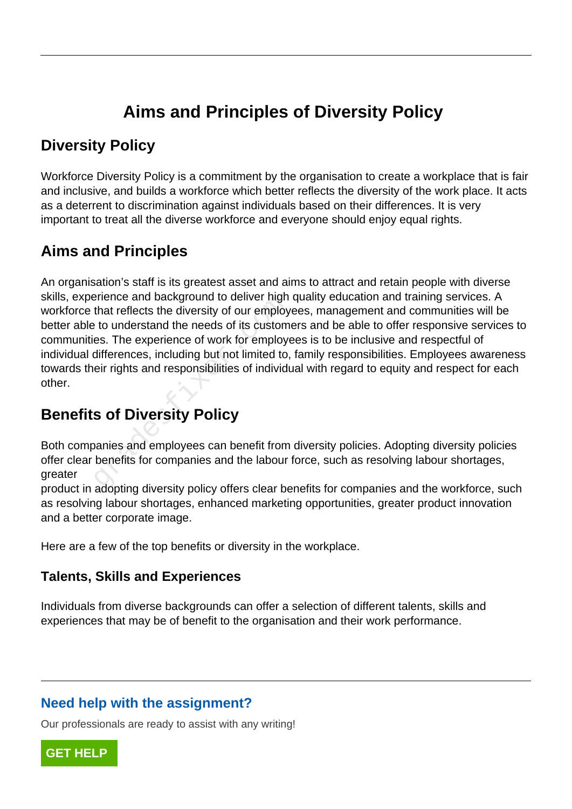# **Aims and Principles of Diversity Policy**

### **Diversity Policy**

Workforce Diversity Policy is a commitment by the organisation to create a workplace that is fair and inclusive, and builds a workforce which better reflects the diversity of the work place. It acts as a deterrent to discrimination against individuals based on their differences. It is very important to treat all the diverse workforce and everyone should enjoy equal rights.

## **Aims and Principles**

An organisation's staff is its greatest asset and aims to attract and retain people with diverse skills, experience and background to deliver high quality education and training services. A workforce that reflects the diversity of our employees, management and communities will be better able to understand the needs of its customers and be able to offer responsive services to communities. The experience of work for employees is to be inclusive and respectful of individual differences, including but not limited to, family responsibilities. Employees awareness towards their rights and responsibilities of individual with regard to equity and respect for each other. Frience and background to deliver high<br>that reflects the diversity of our employ<br>to understand the needs of its custom<br>es. The experience of work for employ<br>differences, including but not limited to,<br>eir rights and respons

## **Benefits of Diversity Policy**

Both companies and employees can benefit from diversity policies. Adopting diversity policies offer clear benefits for companies and the labour force, such as resolving labour shortages, greater

product in adopting diversity policy offers clear benefits for companies and the workforce, such as resolving labour shortages, enhanced marketing opportunities, greater product innovation and a better corporate image.

Here are a few of the top benefits or diversity in the workplace.

#### **Talents, Skills and Experiences**

Individuals from diverse backgrounds can offer a selection of different talents, skills and experiences that may be of benefit to the organisation and their work performance.

### **Need help with the assignment?**

Our professionals are ready to assist with any writing!

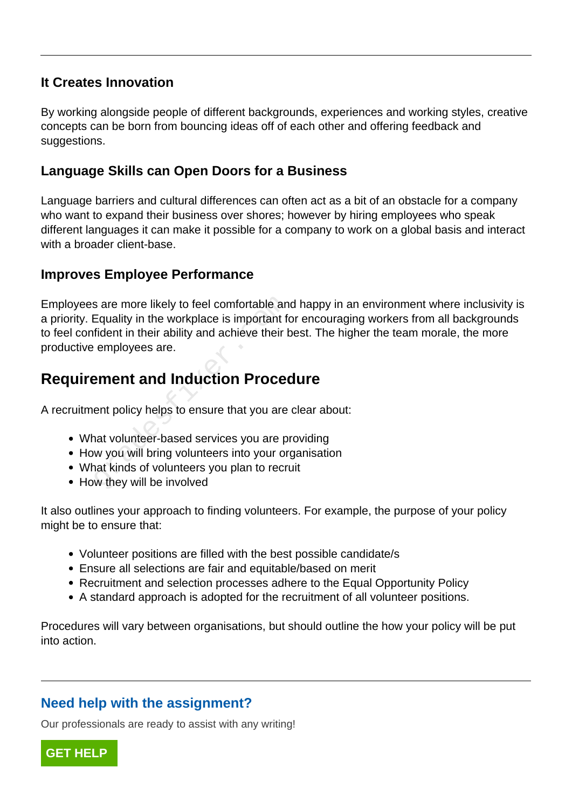#### **It Creates Innovation**

By working alongside people of different backgrounds, experiences and working styles, creative concepts can be born from bouncing ideas off of each other and offering feedback and suggestions.

#### **Language Skills can Open Doors for a Business**

Language barriers and cultural differences can often act as a bit of an obstacle for a company who want to expand their business over shores; however by hiring employees who speak different languages it can make it possible for a company to work on a global basis and interact with a broader client-base.

#### **Improves Employee Performance**

Employees are more likely to feel comfortable and happy in an environment where inclusivity is a priority. Equality in the workplace is important for encouraging workers from all backgrounds to feel confident in their ability and achieve their best. The higher the team morale, the more productive employees are. is are more likely to feel comfortable an<br>Equality in the workplace is important for<br>fident in their ability and achieve their k<br>employees are.<br>**Example of an and Induction Proces**<br>ent policy helps to ensure that you are<br>n

### **Requirement and Induction Procedure**

A recruitment policy helps to ensure that you are clear about:

- What volunteer-based services you are providing
- How you will bring volunteers into your organisation
- What kinds of volunteers you plan to recruit
- How they will be involved

It also outlines your approach to finding volunteers. For example, the purpose of your policy might be to ensure that:

- Volunteer positions are filled with the best possible candidate/s
- Ensure all selections are fair and equitable/based on merit
- Recruitment and selection processes adhere to the Equal Opportunity Policy
- A standard approach is adopted for the recruitment of all volunteer positions.

Procedures will vary between organisations, but should outline the how your policy will be put into action.

#### **Need help with the assignment?**

Our professionals are ready to assist with any writing!